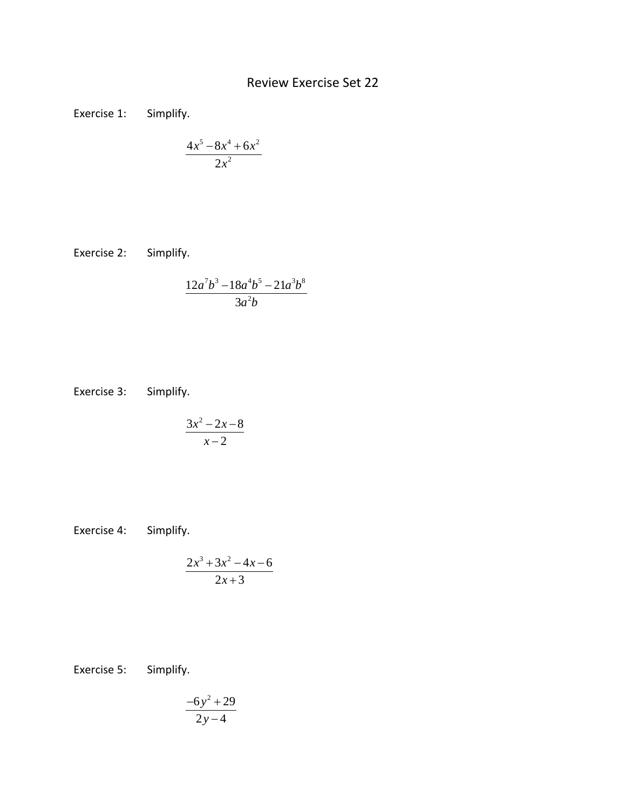## Review Exercise Set 22

Exercise 1: Simplify.

$$
\frac{4x^5 - 8x^4 + 6x^2}{2x^2}
$$

Exercise 2: Simplify.

$$
\frac{12a^7b^3 - 18a^4b^5 - 21a^3b^8}{3a^2b}
$$

Exercise 3: Simplify.

$$
\frac{3x^2-2x-8}{x-2}
$$

Exercise 4: Simplify.

$$
\frac{2x^3 + 3x^2 - 4x - 6}{2x + 3}
$$

Exercise 5: Simplify.

$$
\frac{-6y^2+29}{2y-4}
$$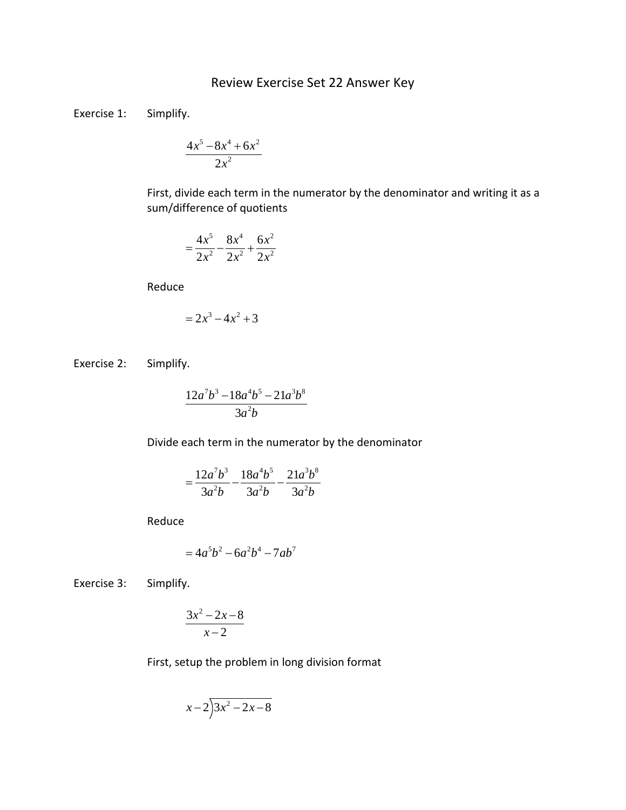## Review Exercise Set 22 Answer Key

Exercise 1: Simplify.

$$
\frac{4x^5 - 8x^4 + 6x^2}{2x^2}
$$

First, divide each term in the numerator by the denominator and writing it as a sum/difference of quotients

$$
=\frac{4x^5}{2x^2}-\frac{8x^4}{2x^2}+\frac{6x^2}{2x^2}
$$

Reduce

$$
= 2x^3 - 4x^2 + 3
$$

Exercise 2: Simplify.

$$
\frac{12a^7b^3 - 18a^4b^5 - 21a^3b^8}{3a^2b}
$$

Divide each term in the numerator by the denominator

$$
=\frac{12a^7b^3}{3a^2b}-\frac{18a^4b^5}{3a^2b}-\frac{21a^3b^8}{3a^2b}
$$

Reduce

$$
=4a^5b^2-6a^2b^4-7ab^7
$$

Exercise 3: Simplify.

$$
\frac{3x^2-2x-8}{x-2}
$$

First, setup the problem in long division format

$$
x-2\overline{\smash)x^2-2x-8}
$$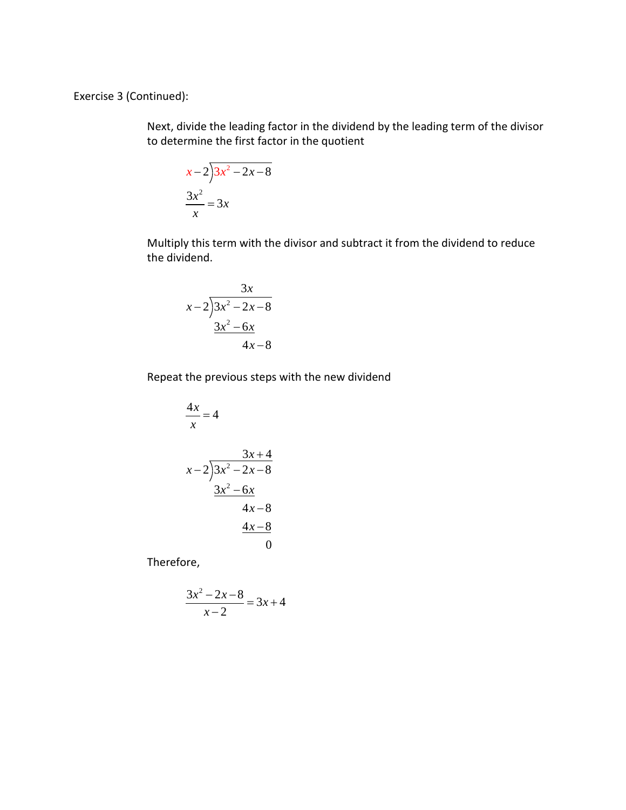Exercise 3 (Continued):

Next, divide the leading factor in the dividend by the leading term of the divisor to determine the first factor in the quotient

$$
\begin{aligned} x - 2 \overline{\smash)3x^2 - 2x - 8} \\ \frac{3x^2}{x} &= 3x \end{aligned}
$$

Multiply this term with the divisor and subtract it from the dividend to reduce the dividend.

$$
\begin{array}{r}3x\\x-2\overline{\smash)3x^2-2x-8}\\3x^2-6x\\4x-8\end{array}
$$

Repeat the previous steps with the new dividend

$$
\frac{4x}{x} = 4
$$
\n
$$
x-2\overline{\smash)3x^2 - 2x - 8}
$$
\n
$$
\underline{3x^2 - 6x}
$$
\n
$$
4x - 8
$$
\n
$$
\underline{4x - 8}
$$
\n0

Therefore,

$$
\frac{3x^2 - 2x - 8}{x - 2} = 3x + 4
$$